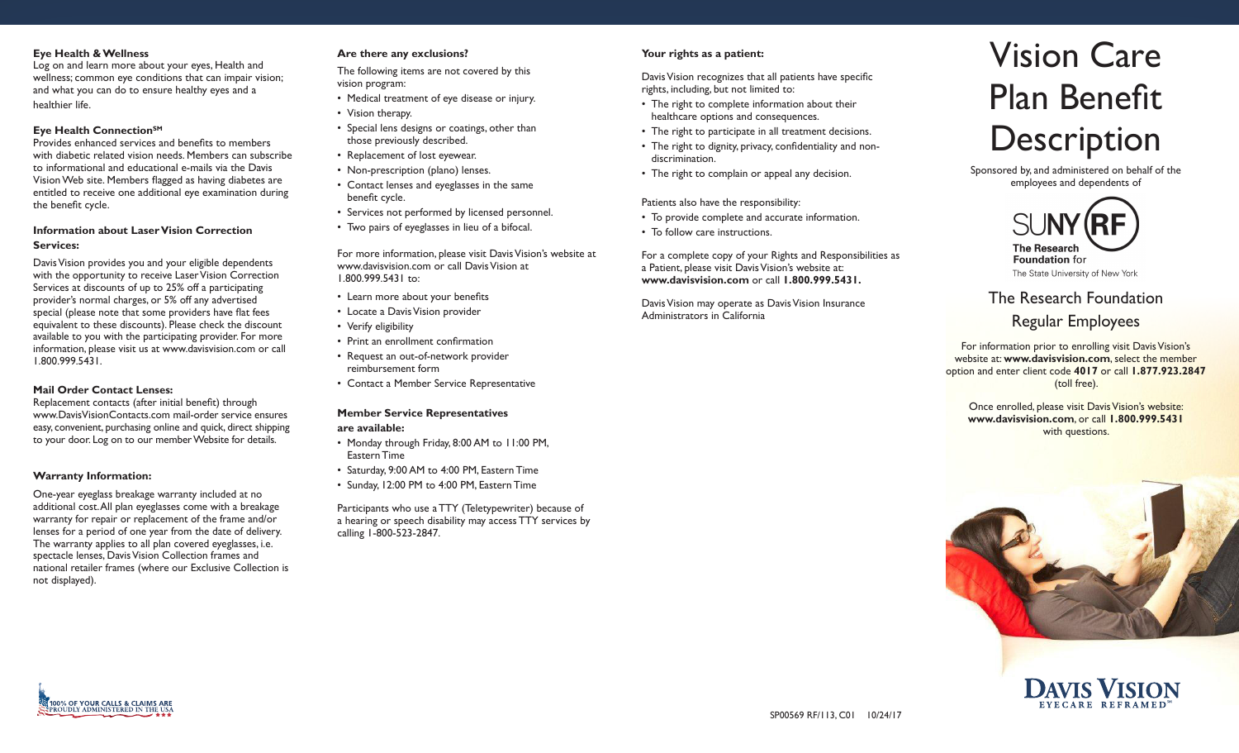#### **Eye Health & Wellness**

Log on and learn more about your eyes, Health and wellness; common eye conditions that can impair vision; and what you can do to ensure healthy eyes and a healthier life.

# **Eye Health ConnectionSM**

Provides enhanced services and benefits to members with diabetic related vision needs. Members can subscribe to informational and educational e-mails via the Davis Vision Web site. Members flagged as having diabetes are entitled to receive one additional eye examination during the benefit cycle.

# **Information about Laser Vision Correction Services:**

Davis Vision provides you and your eligible dependents with the opportunity to receive Laser Vision Correction Services at discounts of up to 25% off a participating provider's normal charges, or 5% off any advertised special (please note that some providers have flat fees equivalent to these discounts). Please check the discount available to you with the participating provider. For more information, please visit us at www.davisvision.com or call 1.800.999.5431.

#### **Mail Order Contact Lenses:**

Replacement contacts (after initial benefit) through www.DavisVisionContacts.com mail-order service ensures easy, convenient, purchasing online and quick, direct shipping to your door. Log on to our member Website for details.

#### **Warranty Information:**

One-year eyeglass breakage warranty included at no additional cost.All plan eyeglasses come with a breakage warranty for repair or replacement of the frame and/or lenses for a period of one year from the date of delivery. The warranty applies to all plan covered eyeglasses, i.e. spectacle lenses, Davis Vision Collection frames and national retailer frames (where our Exclusive Collection is not displayed).

## **Are there any exclusions?**

The following items are not covered by this vision program:

- Medical treatment of eye disease or injury.
- Vision therapy.
- Special lens designs or coatings, other than those previously described.
- Replacement of lost eyewear.
- Non-prescription (plano) lenses.
- Contact lenses and eyeglasses in the same benefit cycle.
- Services not performed by licensed personnel.
- Two pairs of eyeglasses in lieu of a bifocal.

For more information, please visit Davis Vision's website at www.davisvision.com or call Davis Vision at 1.800.999.5431 to:

- • Learn more about your benefits
- Locate a Davis Vision provider
- Verify eligibility
- Print an enrollment confirmation
- Request an out-of-network provider reimbursement form
- Contact a Member Service Representative

# **Member Service Representatives**

#### **are available:**

- Monday through Friday, 8:00 AM to 11:00 PM, Eastern Time
- Saturday, 9:00 AM to 4:00 PM, Eastern Time
- Sunday, 12:00 PM to 4:00 PM, Eastern Time

Participants who use a TTY (Teletypewriter) because of a hearing or speech disability may access TTY services by calling 1-800-523-2847.

# **Your rights as a patient:**

Davis Vision recognizes that all patients have specific rights, including, but not limited to:

- The right to complete information about their healthcare options and consequences.
- The right to participate in all treatment decisions.
- The right to dignity, privacy, confidentiality and nondiscrimination.
- The right to complain or appeal any decision.

#### Patients also have the responsibility:

- To provide complete and accurate information.
- To follow care instructions.

For a complete copy of your Rights and Responsibilities as a Patient, please visit Davis Vision's website at: **www.davisvision.com** or call **1.800.999.5431.** 

Davis Vision may operate as Davis Vision Insurance Administrators in California

# Vision Care Plan Benefit **Description**

Sponsored by, and administered on behalf of the employees and dependents of



The Research Foundation

# Regular Employees

For information prior to enrolling visit Davis Vision's website at: **www.davisvision.com**, select the member option and enter client code **4017** or call **1.877.923.2847**  (toll free).

Once enrolled, please visit Davis Vision's website: **www.davisvision.com**, or call **1.800.999.5431**  with questions.